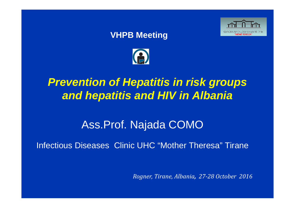#### **VHPB Meeting**





# *Prevention of Hepatitis in risk groups and hepatitis and HIV in Albania*

# Ass.Prof. Najada COMO

Infectious Diseases Clinic UHC "Mother Theresa" Tirane

*Rogner, Tirane, Albania, 27‐28 October 2016*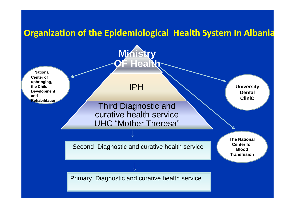### **Organization of the Epidemiological Health System In Albania**

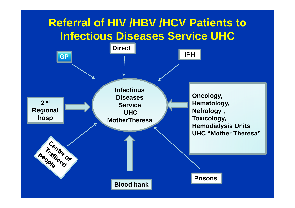# **Referral of HIV /HBV /HCV Patients to Infectious Diseases Service UHC**

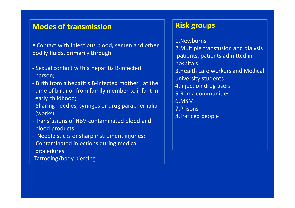#### **Modes of transmission**

- Contact with infectious blood, semen and other bodily fluids, primarily through:
- ‐ Sexual contact with a hepatitis B‐infected person;
- ‐ Birth from a hepatitis B‐infected mother at the time of birth or from family member to infant in early childhood;
- ‐ Sharing needles, syringes or drug paraphernalia (works);
- ‐ Transfusions of HBV‐contaminated blood and blood products;
- ‐ Needle sticks or sharp instrument injuries;
- ‐ Contaminated injections during medical procedures
- ‐Tattooing/body piercing

#### **Risk groups**

1.Newborns2.Multiple transfusion and dialysis patients, patients admitted in hospitals 3.Health care workers and Medical university students 4.Injection drug users 5.Roma communities 6.MSM7.Prisons8.Traficed people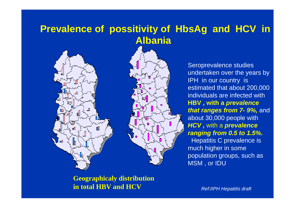## **Prevalence of possitivity of HbsAg and HCV in Albania**



₩

Seroprevalence studies undertaken over the years by IPH in our country is estimated that about 200,000 individuals are infected with **HBV , with a** *prevalence that ranges from 7-9%, and* about 30,000 people with *HCV ,* with a *prevalence ranging from 0.5 to 1.5%.* Hepatitis C prevalence is much higher in some population groups, such as MSM , or IDU

**Geographicaly distribution in total HBV and HCV**

*Ref:IIPH Hepatitis draft*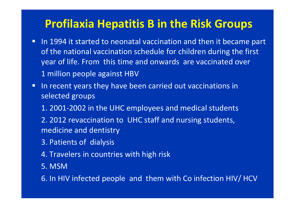# **Profilaxia Hepatitis B in the Risk Groups**

- $\Box$ **IF In 1994 it started to neonatal vaccination and then it became part** of the national vaccination schedule for children during the first year of life. From this time and onwards are vaccinated over 1 million people against HBV
- $\Box$ **IF In recent years they have been carried out vaccinations in** selected groups
	- 1. 2001‐2002 in the UHC employees and medical students
	- 2. 2012 revaccination to UHC staff and nursing students, medicine and dentistry
	- 3. Patients of dialysis
	- 4. Travelers in countries with high risk
	- 5. MSM

6. In HIV infected people and them with Co infection HIV/ HCV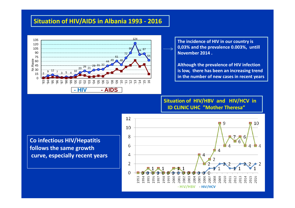#### **Situation of HIV/AIDS in Albania 1993 ‐ 2016**



**The incidence of HIV in our country is 0,03% and the prevalence 0.003%, untill November 2014 .**

**Although the prevalence of HIV infection is low, there has been an increasing trend in the number of new cases in recent years**

**Situation of HIV/HBV and HIV/HCV in ID CLINIC UHC "Mother Theresa"**

**Co infectious HIV/Hepatitis follows the same growth curve, especially recent years**

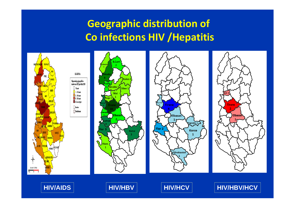# **Geographic distribution of Co infections HIV /Hepatitis**

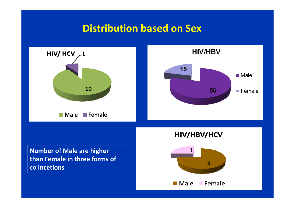## **Distribution based on Sex**

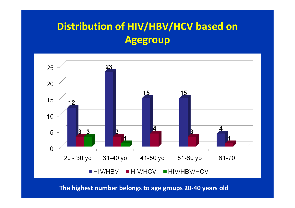# **Distribution of HIV/HBV/HCV based on Agegroup**



**The highest number belongs to age groups 20‐40 years old**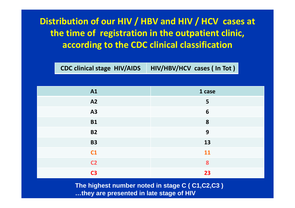## **Distribution of our HIV / HBV and HIV / HCV cases at the time of registration in the outpatient clinic, according to the CDC clinical classification**

**CDC** clinical stage HIV/AIDS **stage HIV/AIDS HIV/HBV/HCV cases ( In Tot )**

| <b>A1</b>      | 1 case          |
|----------------|-----------------|
| A2             | $5\phantom{a}$  |
| <b>A3</b>      | $6\phantom{1}6$ |
| <b>B1</b>      | 8               |
| <b>B2</b>      | 9               |
| <b>B3</b>      | 13              |
| C1             | 11              |
| C <sub>2</sub> | 8               |
| <b>C3</b>      | 23              |

**The highest number noted in stage C ( C1,C2,C3 ) …they are presented in late stage of HIV**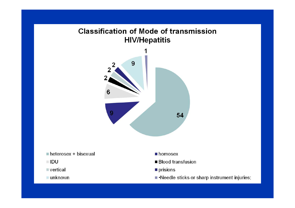#### **Classification of Mode of transmission HIV/Hepatitis**



**IDU** 

vertical

unknown

- prisions
- •Needle sticks or sharp instrument injuries;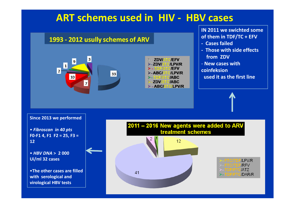## **ART schemes used in HIV ‐ HBV cases**



**IN 2011 we swichted some of them in TDF/TC <sup>+</sup> EFV**

- **‐ Cases failed**
- **‐ Those with side effects from ZDV**
- ‐ **New cases with**
- **coinfeksion**
- **used it as the first line**

**Since 2013 we performed**

• *Fibroscan in 40 pts* **F0‐F1 4, F1 F2 <sup>=</sup> 25, F3 <sup>=</sup> 12**

• *HBV DNA* **> 2 000 Ui/ml 32 cases**

•**The other cases are filledwith serological and virological HBV tests**

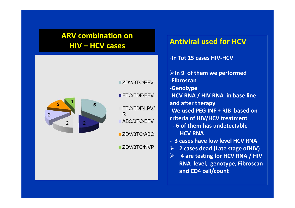#### **ARV combination on HIV – HCV cases**



ZDV/3TC/EFV

#### **Antiviral used for HCV**

- ‐**In Tot 15 cases HIV‐HCV**
- **In 9 of them we performed**
- ‐**Fibroscan**
- ‐**Genotype**
- ‐**HCV RNA / HIV RNA in base line and after therapy**
- ‐**We used PEG INF <sup>+</sup> RIB based on criteria of HIV/HCV treatment**
- **‐ 6 of them has undetectable HCV RNA**
- **‐ 3 cases have low level HCV RNA**
- **2 cases dead (Late stage ofHIV)**
- $\triangleright$  **4 are testing for HCV RNA / HIV RNA level, genotype, Fibroscan and CD4 cell/count**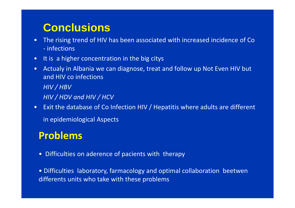## **Conclusions**

- • The rising trend of HIV has been associated with increased incidence of Co ‐ infections
- •It is a higher concentration in the big citys
- • Actualy in Albania we can diagnose, treat and follow up Not Even HIV but and HIV co infections *HIV / HBV HIV / HDV and HIV / HCV*
- Exit the database of Co Infection HIV / Hepatitis where adults are different in epidemiological Aspects

## **Problems**

• Difficulties on aderence of pacients with therapy

• Difficulties laboratory, farmacology and optimal collaboration beetwen differents units who take with these problems